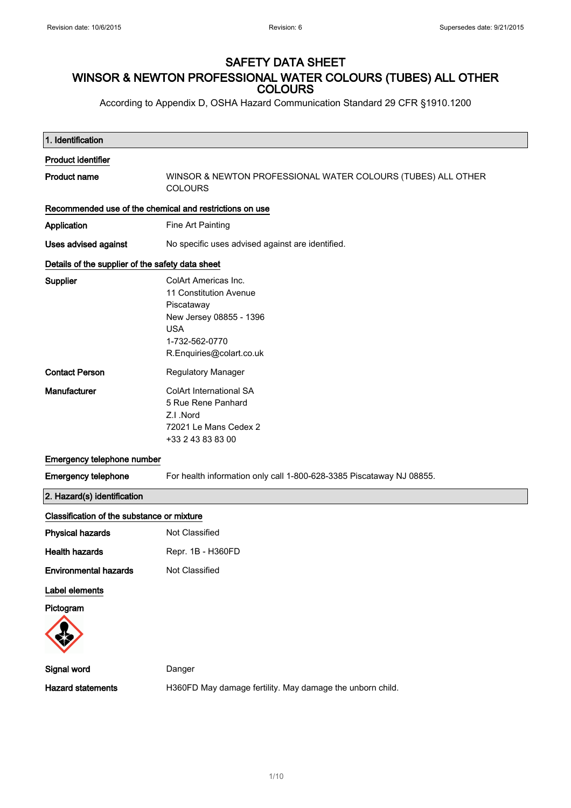## SAFETY DATA SHEET WINSOR & NEWTON PROFESSIONAL WATER COLOURS (TUBES) ALL OTHER **COLOURS**

According to Appendix D, OSHA Hazard Communication Standard 29 CFR §1910.1200

| 1. Identification                                       |                                                                                                                                                     |
|---------------------------------------------------------|-----------------------------------------------------------------------------------------------------------------------------------------------------|
| <b>Product identifier</b>                               |                                                                                                                                                     |
| <b>Product name</b>                                     | WINSOR & NEWTON PROFESSIONAL WATER COLOURS (TUBES) ALL OTHER<br><b>COLOURS</b>                                                                      |
| Recommended use of the chemical and restrictions on use |                                                                                                                                                     |
| Application                                             | Fine Art Painting                                                                                                                                   |
| Uses advised against                                    | No specific uses advised against are identified.                                                                                                    |
| Details of the supplier of the safety data sheet        |                                                                                                                                                     |
| Supplier                                                | ColArt Americas Inc.<br>11 Constitution Avenue<br>Piscataway<br>New Jersey 08855 - 1396<br><b>USA</b><br>1-732-562-0770<br>R.Enquiries@colart.co.uk |
| <b>Contact Person</b>                                   | Regulatory Manager                                                                                                                                  |
| Manufacturer                                            | ColArt International SA<br>5 Rue Rene Panhard<br>Z.I .Nord<br>72021 Le Mans Cedex 2<br>+33 2 43 83 83 00                                            |
| Emergency telephone number                              |                                                                                                                                                     |
| <b>Emergency telephone</b>                              | For health information only call 1-800-628-3385 Piscataway NJ 08855.                                                                                |
| 2. Hazard(s) identification                             |                                                                                                                                                     |
| Classification of the substance or mixture              |                                                                                                                                                     |
| <b>Physical hazards</b>                                 | Not Classified                                                                                                                                      |
| <b>Health hazards</b>                                   | Repr. 1B - H360FD                                                                                                                                   |
| <b>Environmental hazards</b>                            | Not Classified                                                                                                                                      |
| Label elements                                          |                                                                                                                                                     |
| Pictogram                                               |                                                                                                                                                     |
| Signal word                                             | Danger                                                                                                                                              |
| <b>Hazard statements</b>                                | H360FD May damage fertility. May damage the unborn child.                                                                                           |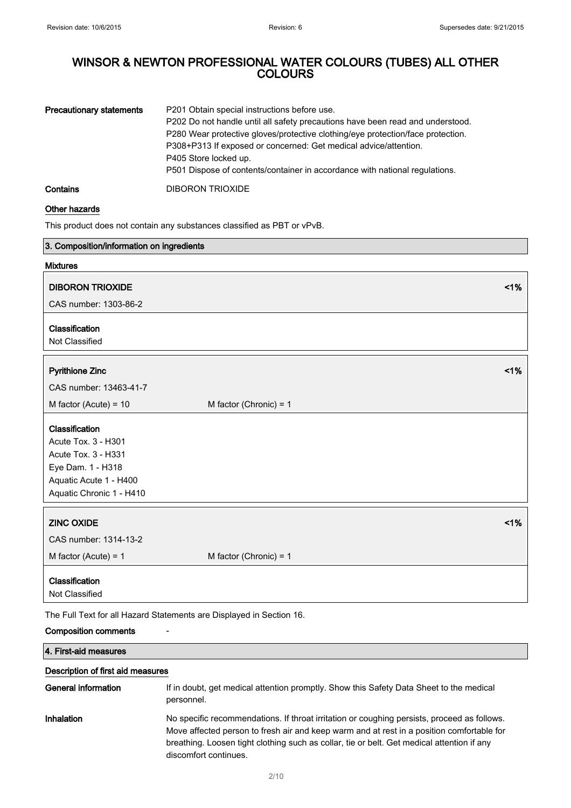| <b>Precautionary statements</b> | P201 Obtain special instructions before use.                                    |  |
|---------------------------------|---------------------------------------------------------------------------------|--|
|                                 | P202 Do not handle until all safety precautions have been read and understood.  |  |
|                                 | P280 Wear protective gloves/protective clothing/eye protection/face protection. |  |
|                                 | P308+P313 If exposed or concerned: Get medical advice/attention.                |  |
|                                 | P405 Store locked up.                                                           |  |
|                                 | P501 Dispose of contents/container in accordance with national regulations.     |  |
| Contains                        | <b>DIBORON TRIOXIDE</b>                                                         |  |

### Other hazards

This product does not contain any substances classified as PBT or vPvB.

| 3. Composition/information on ingredients                            |                          |    |
|----------------------------------------------------------------------|--------------------------|----|
| <b>Mixtures</b>                                                      |                          |    |
| <b>DIBORON TRIOXIDE</b>                                              |                          | 1% |
| CAS number: 1303-86-2                                                |                          |    |
|                                                                      |                          |    |
| Classification                                                       |                          |    |
| Not Classified                                                       |                          |    |
|                                                                      |                          |    |
| <b>Pyrithione Zinc</b>                                               |                          | 1% |
| CAS number: 13463-41-7                                               |                          |    |
| M factor (Acute) = $10$                                              | M factor (Chronic) = $1$ |    |
| Classification                                                       |                          |    |
| Acute Tox. 3 - H301                                                  |                          |    |
| Acute Tox. 3 - H331                                                  |                          |    |
| Eye Dam. 1 - H318                                                    |                          |    |
| Aquatic Acute 1 - H400                                               |                          |    |
| Aquatic Chronic 1 - H410                                             |                          |    |
| <b>ZINC OXIDE</b>                                                    |                          | 1% |
|                                                                      |                          |    |
| CAS number: 1314-13-2                                                |                          |    |
| M factor (Acute) = $1$                                               | M factor (Chronic) = $1$ |    |
| Classification                                                       |                          |    |
| Not Classified                                                       |                          |    |
| The Full Text for all Hazard Statements are Displayed in Section 16. |                          |    |

### Composition comments -

4. First-aid measures

### Description of first aid measures

| General information | If in doubt, get medical attention promptly. Show this Safety Data Sheet to the medical<br>personnel.                                                                                                                                                                                                           |
|---------------------|-----------------------------------------------------------------------------------------------------------------------------------------------------------------------------------------------------------------------------------------------------------------------------------------------------------------|
| Inhalation          | No specific recommendations. If throat irritation or coughing persists, proceed as follows.<br>Move affected person to fresh air and keep warm and at rest in a position comfortable for<br>breathing. Loosen tight clothing such as collar, tie or belt. Get medical attention if any<br>discomfort continues. |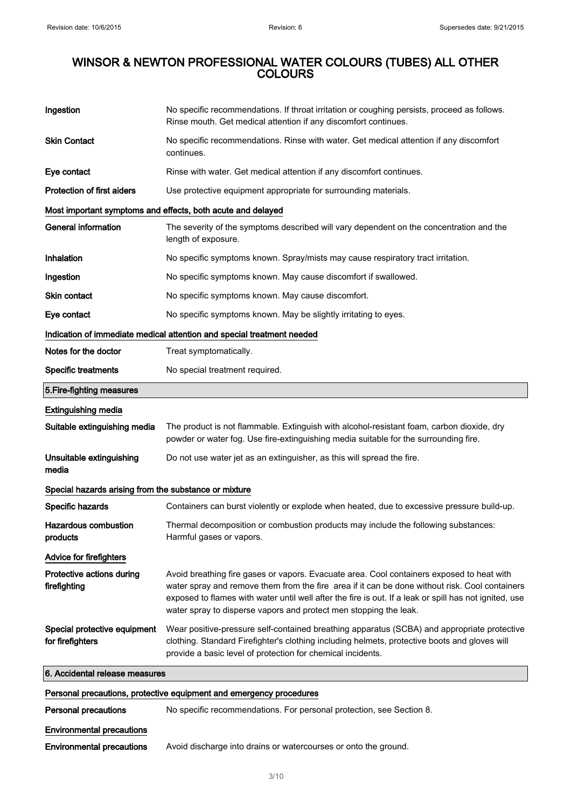| Ingestion                                             | No specific recommendations. If throat irritation or coughing persists, proceed as follows.<br>Rinse mouth. Get medical attention if any discomfort continues.                                                                                                                                                                                                             |
|-------------------------------------------------------|----------------------------------------------------------------------------------------------------------------------------------------------------------------------------------------------------------------------------------------------------------------------------------------------------------------------------------------------------------------------------|
| <b>Skin Contact</b>                                   | No specific recommendations. Rinse with water. Get medical attention if any discomfort<br>continues.                                                                                                                                                                                                                                                                       |
| Eye contact                                           | Rinse with water. Get medical attention if any discomfort continues.                                                                                                                                                                                                                                                                                                       |
| <b>Protection of first aiders</b>                     | Use protective equipment appropriate for surrounding materials.                                                                                                                                                                                                                                                                                                            |
|                                                       | Most important symptoms and effects, both acute and delayed                                                                                                                                                                                                                                                                                                                |
| <b>General information</b>                            | The severity of the symptoms described will vary dependent on the concentration and the<br>length of exposure.                                                                                                                                                                                                                                                             |
| Inhalation                                            | No specific symptoms known. Spray/mists may cause respiratory tract irritation.                                                                                                                                                                                                                                                                                            |
| Ingestion                                             | No specific symptoms known. May cause discomfort if swallowed.                                                                                                                                                                                                                                                                                                             |
| <b>Skin contact</b>                                   | No specific symptoms known. May cause discomfort.                                                                                                                                                                                                                                                                                                                          |
| Eye contact                                           | No specific symptoms known. May be slightly irritating to eyes.                                                                                                                                                                                                                                                                                                            |
|                                                       | Indication of immediate medical attention and special treatment needed                                                                                                                                                                                                                                                                                                     |
| Notes for the doctor                                  | Treat symptomatically.                                                                                                                                                                                                                                                                                                                                                     |
| <b>Specific treatments</b>                            | No special treatment required.                                                                                                                                                                                                                                                                                                                                             |
| 5. Fire-fighting measures                             |                                                                                                                                                                                                                                                                                                                                                                            |
| <b>Extinguishing media</b>                            |                                                                                                                                                                                                                                                                                                                                                                            |
| Suitable extinguishing media                          | The product is not flammable. Extinguish with alcohol-resistant foam, carbon dioxide, dry<br>powder or water fog. Use fire-extinguishing media suitable for the surrounding fire.                                                                                                                                                                                          |
| Unsuitable extinguishing<br>media                     | Do not use water jet as an extinguisher, as this will spread the fire.                                                                                                                                                                                                                                                                                                     |
| Special hazards arising from the substance or mixture |                                                                                                                                                                                                                                                                                                                                                                            |
| Specific hazards                                      | Containers can burst violently or explode when heated, due to excessive pressure build-up.                                                                                                                                                                                                                                                                                 |
| <b>Hazardous combustion</b><br>products               | Thermal decomposition or combustion products may include the following substances:<br>Harmful gases or vapors.                                                                                                                                                                                                                                                             |
| Advice for firefighters                               |                                                                                                                                                                                                                                                                                                                                                                            |
| Protective actions during<br>firefighting             | Avoid breathing fire gases or vapors. Evacuate area. Cool containers exposed to heat with<br>water spray and remove them from the fire area if it can be done without risk. Cool containers<br>exposed to flames with water until well after the fire is out. If a leak or spill has not ignited, use<br>water spray to disperse vapors and protect men stopping the leak. |
| Special protective equipment<br>for firefighters      | Wear positive-pressure self-contained breathing apparatus (SCBA) and appropriate protective<br>clothing. Standard Firefighter's clothing including helmets, protective boots and gloves will<br>provide a basic level of protection for chemical incidents.                                                                                                                |
| 6. Accidental release measures                        |                                                                                                                                                                                                                                                                                                                                                                            |
|                                                       | Personal precautions, protective equipment and emergency procedures                                                                                                                                                                                                                                                                                                        |
| <b>Personal precautions</b>                           | No specific recommendations. For personal protection, see Section 8.                                                                                                                                                                                                                                                                                                       |
| <b>Environmental precautions</b>                      |                                                                                                                                                                                                                                                                                                                                                                            |
| <b>Environmental precautions</b>                      | Avoid discharge into drains or watercourses or onto the ground.                                                                                                                                                                                                                                                                                                            |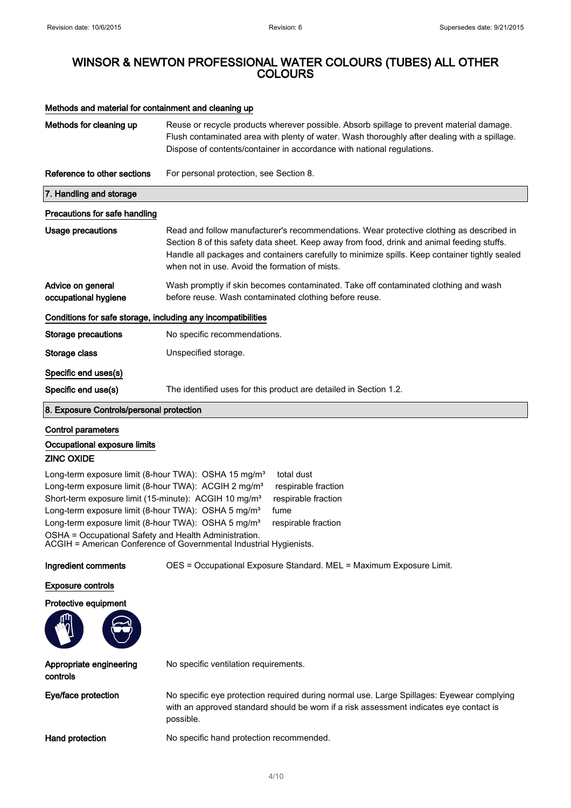**AND** 

## WINSOR & NEWTON PROFESSIONAL WATER COLOURS (TUBES) ALL OTHER COLOURS

### Methods and material for containment and cleaning up

| Methods for cleaning up                                                                                                                                                                                                                                                                                                                                                                                  | Reuse or recycle products wherever possible. Absorb spillage to prevent material damage.<br>Flush contaminated area with plenty of water. Wash thoroughly after dealing with a spillage.<br>Dispose of contents/container in accordance with national regulations.                                                                         |
|----------------------------------------------------------------------------------------------------------------------------------------------------------------------------------------------------------------------------------------------------------------------------------------------------------------------------------------------------------------------------------------------------------|--------------------------------------------------------------------------------------------------------------------------------------------------------------------------------------------------------------------------------------------------------------------------------------------------------------------------------------------|
| Reference to other sections                                                                                                                                                                                                                                                                                                                                                                              | For personal protection, see Section 8.                                                                                                                                                                                                                                                                                                    |
| 7. Handling and storage                                                                                                                                                                                                                                                                                                                                                                                  |                                                                                                                                                                                                                                                                                                                                            |
| Precautions for safe handling                                                                                                                                                                                                                                                                                                                                                                            |                                                                                                                                                                                                                                                                                                                                            |
| <b>Usage precautions</b>                                                                                                                                                                                                                                                                                                                                                                                 | Read and follow manufacturer's recommendations. Wear protective clothing as described in<br>Section 8 of this safety data sheet. Keep away from food, drink and animal feeding stuffs.<br>Handle all packages and containers carefully to minimize spills. Keep container tightly sealed<br>when not in use. Avoid the formation of mists. |
| Advice on general<br>occupational hygiene                                                                                                                                                                                                                                                                                                                                                                | Wash promptly if skin becomes contaminated. Take off contaminated clothing and wash<br>before reuse. Wash contaminated clothing before reuse.                                                                                                                                                                                              |
| Conditions for safe storage, including any incompatibilities                                                                                                                                                                                                                                                                                                                                             |                                                                                                                                                                                                                                                                                                                                            |
| <b>Storage precautions</b>                                                                                                                                                                                                                                                                                                                                                                               | No specific recommendations.                                                                                                                                                                                                                                                                                                               |
| Storage class                                                                                                                                                                                                                                                                                                                                                                                            | Unspecified storage.                                                                                                                                                                                                                                                                                                                       |
| Specific end uses(s)                                                                                                                                                                                                                                                                                                                                                                                     |                                                                                                                                                                                                                                                                                                                                            |
| Specific end use(s)                                                                                                                                                                                                                                                                                                                                                                                      | The identified uses for this product are detailed in Section 1.2.                                                                                                                                                                                                                                                                          |
| 8. Exposure Controls/personal protection                                                                                                                                                                                                                                                                                                                                                                 |                                                                                                                                                                                                                                                                                                                                            |
| <b>Control parameters</b><br>Occupational exposure limits<br><b>ZINC OXIDE</b>                                                                                                                                                                                                                                                                                                                           |                                                                                                                                                                                                                                                                                                                                            |
| Long-term exposure limit (8-hour TWA): OSHA 15 mg/m <sup>3</sup><br>Long-term exposure limit (8-hour TWA): ACGIH 2 mg/m <sup>3</sup><br>Short-term exposure limit (15-minute): ACGIH 10 mg/m <sup>3</sup><br>Long-term exposure limit (8-hour TWA): OSHA 5 mg/m <sup>3</sup><br>Long-term exposure limit (8-hour TWA): OSHA 5 mg/m <sup>3</sup><br>OSHA = Occupational Safety and Health Administration. | total dust<br>respirable fraction<br>respirable fraction<br>fume<br>respirable fraction<br>ACGIH = American Conference of Governmental Industrial Hygienists.                                                                                                                                                                              |
| Ingredient comments                                                                                                                                                                                                                                                                                                                                                                                      | OES = Occupational Exposure Standard. MEL = Maximum Exposure Limit.                                                                                                                                                                                                                                                                        |
| <b>Exposure controls</b>                                                                                                                                                                                                                                                                                                                                                                                 |                                                                                                                                                                                                                                                                                                                                            |
| Protective equipment<br>ጠነ                                                                                                                                                                                                                                                                                                                                                                               |                                                                                                                                                                                                                                                                                                                                            |

| Appropriate engineering<br>controls | No specific ventilation requirements.                                                                                                                                                            |
|-------------------------------------|--------------------------------------------------------------------------------------------------------------------------------------------------------------------------------------------------|
| Eye/face protection                 | No specific eye protection required during normal use. Large Spillages: Eyewear complying<br>with an approved standard should be worn if a risk assessment indicates eye contact is<br>possible. |
| Hand protection                     | No specific hand protection recommended.                                                                                                                                                         |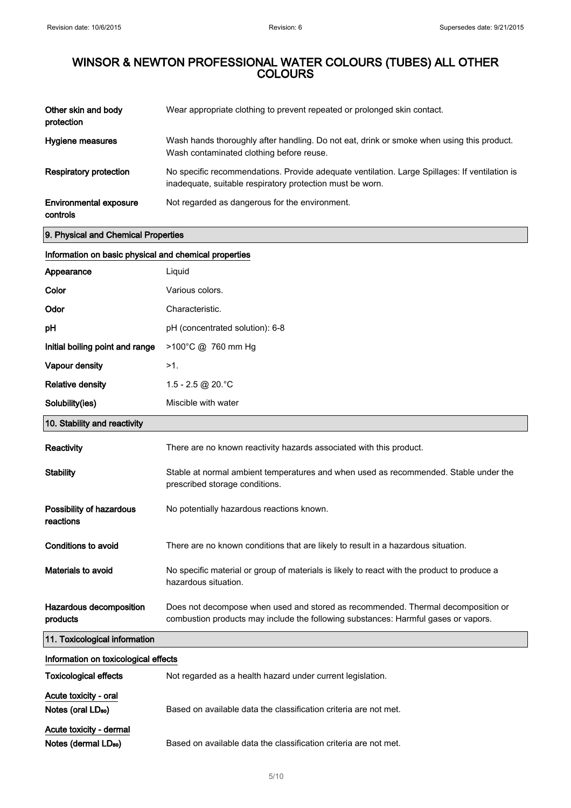| Other skin and body<br>protection         | Wear appropriate clothing to prevent repeated or prolonged skin contact.                                                                                   |
|-------------------------------------------|------------------------------------------------------------------------------------------------------------------------------------------------------------|
| Hygiene measures                          | Wash hands thoroughly after handling. Do not eat, drink or smoke when using this product.<br>Wash contaminated clothing before reuse.                      |
| <b>Respiratory protection</b>             | No specific recommendations. Provide adequate ventilation. Large Spillages: If ventilation is<br>inadequate, suitable respiratory protection must be worn. |
| <b>Environmental exposure</b><br>controls | Not regarded as dangerous for the environment.                                                                                                             |

9. Physical and Chemical Properties

### Information on basic physical and chemical properties

| Appearance                                                  | Liquid                                                                                                                                                                 |
|-------------------------------------------------------------|------------------------------------------------------------------------------------------------------------------------------------------------------------------------|
| Color                                                       | Various colors.                                                                                                                                                        |
| Odor                                                        | Characteristic.                                                                                                                                                        |
| рH                                                          | pH (concentrated solution): 6-8                                                                                                                                        |
| Initial boiling point and range                             | >100°C @ 760 mm Hg                                                                                                                                                     |
| Vapour density                                              | $>1$ .                                                                                                                                                                 |
| <b>Relative density</b>                                     | 1.5 - 2.5 @ 20. °C                                                                                                                                                     |
| Solubility(ies)                                             | Miscible with water                                                                                                                                                    |
| 10. Stability and reactivity                                |                                                                                                                                                                        |
| Reactivity                                                  | There are no known reactivity hazards associated with this product.                                                                                                    |
| <b>Stability</b>                                            | Stable at normal ambient temperatures and when used as recommended. Stable under the<br>prescribed storage conditions.                                                 |
| Possibility of hazardous<br>reactions                       | No potentially hazardous reactions known.                                                                                                                              |
| Conditions to avoid                                         | There are no known conditions that are likely to result in a hazardous situation.                                                                                      |
| <b>Materials to avoid</b>                                   | No specific material or group of materials is likely to react with the product to produce a<br>hazardous situation.                                                    |
| Hazardous decomposition<br>products                         | Does not decompose when used and stored as recommended. Thermal decomposition or<br>combustion products may include the following substances: Harmful gases or vapors. |
| 11. Toxicological information                               |                                                                                                                                                                        |
| Information on toxicological effects                        |                                                                                                                                                                        |
| <b>Toxicological effects</b>                                | Not regarded as a health hazard under current legislation.                                                                                                             |
| Acute toxicity - oral<br>Notes (oral LD <sub>50</sub> )     | Based on available data the classification criteria are not met.                                                                                                       |
| Acute toxicity - dermal<br>Notes (dermal LD <sub>50</sub> ) | Based on available data the classification criteria are not met.                                                                                                       |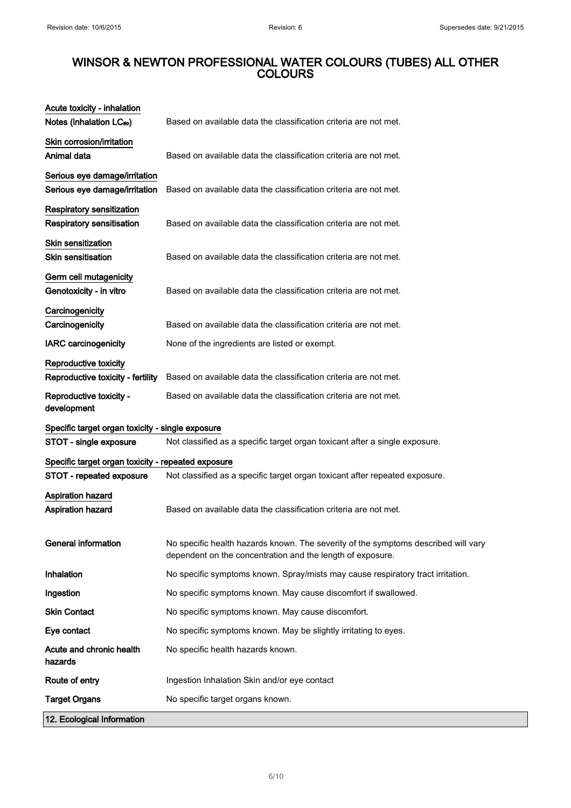| 12. Ecological Information                                                     |                                                                                                                                                  |
|--------------------------------------------------------------------------------|--------------------------------------------------------------------------------------------------------------------------------------------------|
| <b>Target Organs</b>                                                           | No specific target organs known.                                                                                                                 |
| Route of entry                                                                 | Ingestion Inhalation Skin and/or eye contact                                                                                                     |
| Acute and chronic health<br>hazards                                            | No specific health hazards known.                                                                                                                |
| Eye contact                                                                    | No specific symptoms known. May be slightly irritating to eyes.                                                                                  |
| <b>Skin Contact</b>                                                            | No specific symptoms known. May cause discomfort.                                                                                                |
| Ingestion                                                                      | No specific symptoms known. May cause discomfort if swallowed.                                                                                   |
| Inhalation                                                                     | No specific symptoms known. Spray/mists may cause respiratory tract irritation.                                                                  |
| <b>General information</b>                                                     | No specific health hazards known. The severity of the symptoms described will vary<br>dependent on the concentration and the length of exposure. |
| <b>Aspiration hazard</b><br>Aspiration hazard                                  | Based on available data the classification criteria are not met.                                                                                 |
| Specific target organ toxicity - repeated exposure<br>STOT - repeated exposure | Not classified as a specific target organ toxicant after repeated exposure.                                                                      |
| STOT - single exposure                                                         | Not classified as a specific target organ toxicant after a single exposure.                                                                      |
| Specific target organ toxicity - single exposure                               |                                                                                                                                                  |
| Reproductive toxicity -<br>development                                         | Based on available data the classification criteria are not met.                                                                                 |
| <b>Reproductive toxicity</b><br>Reproductive toxicity - fertility              | Based on available data the classification criteria are not met.                                                                                 |
| <b>IARC</b> carcinogenicity                                                    | None of the ingredients are listed or exempt.                                                                                                    |
| Carcinogenicity<br>Carcinogenicity                                             | Based on available data the classification criteria are not met.                                                                                 |
| Germ cell mutagenicity<br>Genotoxicity - in vitro                              | Based on available data the classification criteria are not met.                                                                                 |
| <b>Skin sensitization</b><br><b>Skin sensitisation</b>                         | Based on available data the classification criteria are not met.                                                                                 |
| <b>Respiratory sensitization</b><br><b>Respiratory sensitisation</b>           | Based on available data the classification criteria are not met.                                                                                 |
| Serious eye damage/irritation<br>Serious eye damage/irritation                 | Based on available data the classification criteria are not met.                                                                                 |
| Skin corrosion/irritation<br>Animal data                                       | Based on available data the classification criteria are not met.                                                                                 |
| Acute toxicity - inhalation<br>Notes (inhalation LC <sub>50</sub> )            | Based on available data the classification criteria are not met.                                                                                 |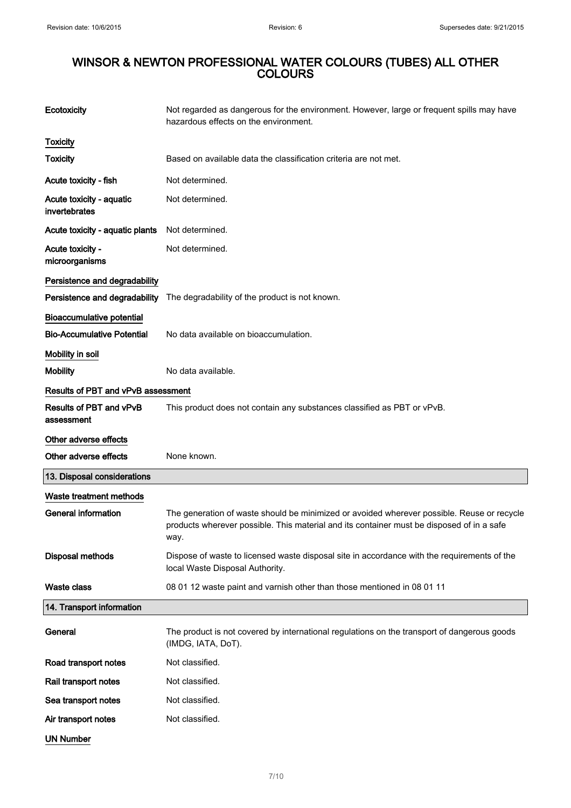| Ecotoxicity                               | Not regarded as dangerous for the environment. However, large or frequent spills may have<br>hazardous effects on the environment.                                                              |
|-------------------------------------------|-------------------------------------------------------------------------------------------------------------------------------------------------------------------------------------------------|
| <b>Toxicity</b>                           |                                                                                                                                                                                                 |
| <b>Toxicity</b>                           | Based on available data the classification criteria are not met.                                                                                                                                |
| Acute toxicity - fish                     | Not determined.                                                                                                                                                                                 |
| Acute toxicity - aquatic<br>invertebrates | Not determined.                                                                                                                                                                                 |
| Acute toxicity - aquatic plants           | Not determined.                                                                                                                                                                                 |
| Acute toxicity -<br>microorganisms        | Not determined.                                                                                                                                                                                 |
| Persistence and degradability             |                                                                                                                                                                                                 |
| Persistence and degradability             | The degradability of the product is not known.                                                                                                                                                  |
| <b>Bioaccumulative potential</b>          |                                                                                                                                                                                                 |
| <b>Bio-Accumulative Potential</b>         | No data available on bioaccumulation.                                                                                                                                                           |
| Mobility in soil                          |                                                                                                                                                                                                 |
| <b>Mobility</b>                           | No data available.                                                                                                                                                                              |
| <b>Results of PBT and vPvB assessment</b> |                                                                                                                                                                                                 |
| Results of PBT and vPvB<br>assessment     | This product does not contain any substances classified as PBT or vPvB.                                                                                                                         |
| Other adverse effects                     |                                                                                                                                                                                                 |
| Other adverse effects                     | None known.                                                                                                                                                                                     |
| 13. Disposal considerations               |                                                                                                                                                                                                 |
| Waste treatment methods                   |                                                                                                                                                                                                 |
| <b>General information</b>                | The generation of waste should be minimized or avoided wherever possible. Reuse or recycle<br>products wherever possible. This material and its container must be disposed of in a safe<br>way. |
| <b>Disposal methods</b>                   | Dispose of waste to licensed waste disposal site in accordance with the requirements of the<br>local Waste Disposal Authority.                                                                  |
| <b>Waste class</b>                        | 08 01 12 waste paint and varnish other than those mentioned in 08 01 11                                                                                                                         |
| 14. Transport information                 |                                                                                                                                                                                                 |
| General                                   | The product is not covered by international regulations on the transport of dangerous goods<br>(IMDG, IATA, DoT).                                                                               |
| Road transport notes                      | Not classified.                                                                                                                                                                                 |
| Rail transport notes                      | Not classified.                                                                                                                                                                                 |
|                                           |                                                                                                                                                                                                 |
| Sea transport notes                       | Not classified.                                                                                                                                                                                 |
| Air transport notes                       | Not classified.                                                                                                                                                                                 |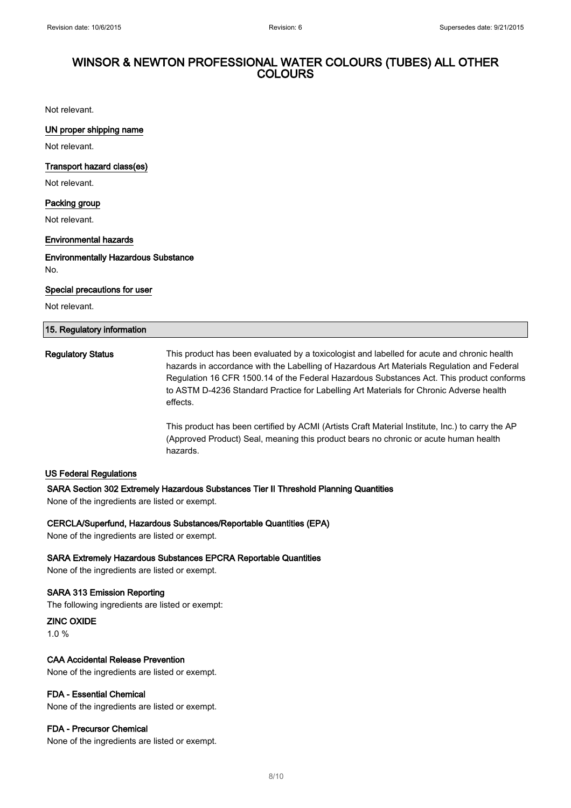Not relevant.

### UN proper shipping name

Not relevant.

#### Transport hazard class(es)

Not relevant.

#### Packing group

Not relevant.

#### Environmental hazards

Environmentally Hazardous Substance No.

#### Special precautions for user

Not relevant.

# 15. Regulatory information Regulatory Status This product has been evaluated by a toxicologist and labelled for acute and chronic health hazards in accordance with the Labelling of Hazardous Art Materials Regulation and Federal Regulation 16 CFR 1500.14 of the Federal Hazardous Substances Act. This product conforms to ASTM D-4236 Standard Practice for Labelling Art Materials for Chronic Adverse health effects.

This product has been certified by ACMI (Artists Craft Material Institute, Inc.) to carry the AP (Approved Product) Seal, meaning this product bears no chronic or acute human health hazards.

#### US Federal Regulations

#### SARA Section 302 Extremely Hazardous Substances Tier II Threshold Planning Quantities

None of the ingredients are listed or exempt.

#### CERCLA/Superfund, Hazardous Substances/Reportable Quantities (EPA)

None of the ingredients are listed or exempt.

#### SARA Extremely Hazardous Substances EPCRA Reportable Quantities

None of the ingredients are listed or exempt.

### SARA 313 Emission Reporting

The following ingredients are listed or exempt:

ZINC OXIDE 1.0 %

#### CAA Accidental Release Prevention

None of the ingredients are listed or exempt.

#### FDA - Essential Chemical

None of the ingredients are listed or exempt.

#### FDA - Precursor Chemical

None of the ingredients are listed or exempt.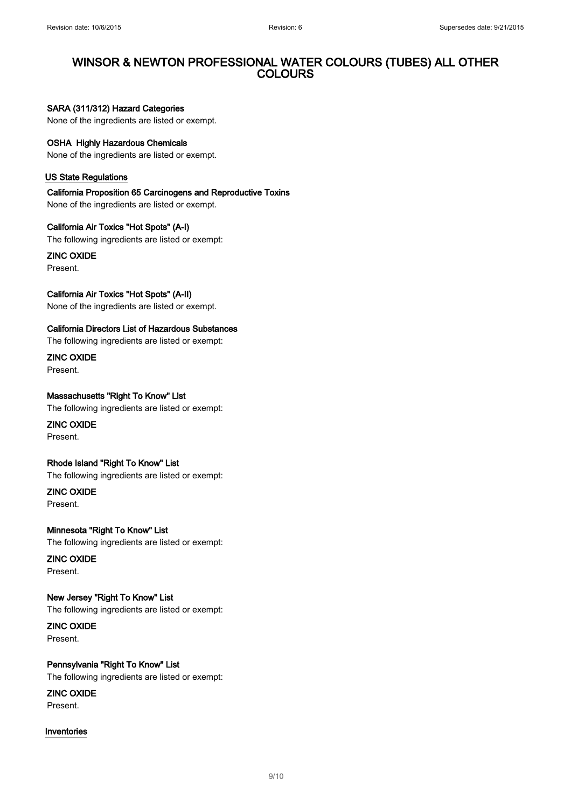### SARA (311/312) Hazard Categories

None of the ingredients are listed or exempt.

### OSHA Highly Hazardous Chemicals

None of the ingredients are listed or exempt.

#### US State Regulations

California Proposition 65 Carcinogens and Reproductive Toxins None of the ingredients are listed or exempt.

California Air Toxics "Hot Spots" (A-I) The following ingredients are listed or exempt:

ZINC OXIDE Present.

California Air Toxics "Hot Spots" (A-II)

None of the ingredients are listed or exempt.

#### California Directors List of Hazardous Substances

The following ingredients are listed or exempt:

ZINC OXIDE Present.

Massachusetts "Right To Know" List The following ingredients are listed or exempt:

ZINC OXIDE Present.

Rhode Island "Right To Know" List

The following ingredients are listed or exempt:

ZINC OXIDE Present.

Minnesota "Right To Know" List The following ingredients are listed or exempt:

ZINC OXIDE Present.

New Jersey "Right To Know" List The following ingredients are listed or exempt:

ZINC OXIDE Present.

Pennsylvania "Right To Know" List The following ingredients are listed or exempt:

ZINC OXIDE Present.

### Inventories